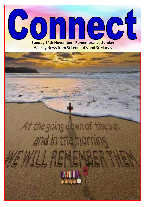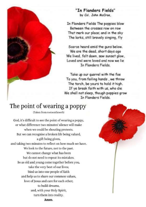

#### 'In Flanders Fields" by Col. John McCrae,

In Flanders Fields The poppies blow Between the crosses row on row That mark our place; and in the sky The larks, still bravely singing, fly

Scarce heard amid the guns below. We are the dead, short days ago We lived, felt dawn, saw sunset glow, Loved and were loved and now we lie **In Flanders Fields.** 

Take up our quarrel with the foe To you, from failing hands, we throw The torch, be yours to hold it high. If ye break faith with us, who die We shall not sleep, though poppies grow In Flanders Fields.

## The point of wearing a poppy

(Taken from rootsontheweb)

God, it's difficult to see the point of wearing a poppy, or what difference two minutes' silence will make when we could be shouting protests. But we can recognise a broken life being valued, a gift being given, and taking two minutes to reflect on how much we have. We look to the future, not to the past. We cannot change what has been but do not need to repeat its mistakes. So as old and young come together before you, take the very best of our lives; bind us into one people of faith and help us to share our common values, love of Jesus and care for each other: to build dreams. and, with your Holy Spirit, turn them into reality. Amen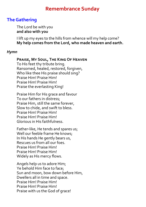#### **Remembrance Sunday**

#### **The Gathering**

The Lord be with you **and also with you**

I lift up my eyes to the hills from whence will my help come? **My help comes from the Lord, who made heaven and earth.** 

#### *Hymn*

#### **Praise, My Soul, The King Of Heaven**

To His feet thy tribute bring. Ransomed, healed, restored, forgiven, Who like thee His praise should sing? Praise Him! Praise Him! Praise Him! Praise Him! Praise the everlasting King!

Praise Him for His grace and favour To our fathers in distress; Praise Him, still the same forever, Slow to chide, and swift to bless. Praise Him! Praise Him! Praise Him! Praise Him! Glorious in His faithfulness.

Father-like, He tends and spares us; Well our feeble frame He knows; In His hands He gently bears us, Rescues us from all our foes. Praise Him! Praise Him! Praise Him! Praise Him! Widely as His mercy flows.

Angels help us to adore Him; Ye behold Him face to face; Sun and moon, bow down before Him, Dwellers all in time and space. Praise Him! Praise Him! Praise Him! Praise Him! Praise with us the God of grace!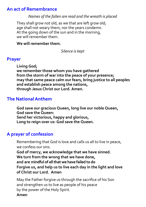#### **An act of Remembrance**

*Names of the fallen are read and the wreath is placed*

They shall grow not old, as we that are left grow old; age shall not weary them, nor the years condemn. At the going down of the sun and in the morning, we will remember them.

#### **We will remember them.**

*Silence is kept*

#### **Prayer**

**Living God; we remember those whom you have gathered from the storm of war into the peace of your presence; may that same peace calm our fears, bring justice to all peoples and establish peace among the nations, through Jesus Christ our Lord. Amen.**

#### **The National Anthem**

**God save our gracious Queen, long live our noble Queen, God save the Queen: Send her victorious, happy and glorious, Long to reign over us: God save the Queen.**

#### **A prayer of confession**

Remembering that God is love and calls us all to live in peace, we confess our sins.

**God of mercy, we acknowledge that we have sinned. We turn from the wrong that we have done, and are mindful of all that we have failed to do Forgive us, and help us to live each day in the light and love of Christ our Lord. Amen**

May the Father forgive us through the sacrifice of his Son and strengthen us to live as people of his peace by the power of the Holy Spirit. **Amen**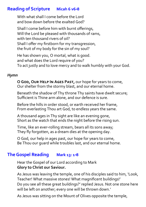#### **Reading of Scripture Micah 6 v6-8**

With what shall I come before the Lord and bow down before the exalted God?

Shall I come before him with burnt offerings, Will the Lord be pleased with thousands of rams, with ten thousand rivers of oil? Shall I offer my firstborn for my transgression, the fruit of my body for the sin of my soul?

He has shown you, O mortal, what is good. and what does the Lord require of you? To act justly and to love mercy and to walk humbly with your God.

#### *Hymn*

**O God, Our Help In Ages Past,** our hope for years to come, Our shelter from the stormy blast, and our eternal home.

Beneath the shadow of Thy throne Thy saints have dwelt secure; Sufficient is Thine arm alone, and our defence is sure.

Before the hills in order stood, or earth received her frame, From everlasting Thou art God, to endless years the same.

A thousand ages in Thy sight are like an evening gone, Short as the watch that ends the night before the rising sun.

Time, like an ever-rolling stream, bears all its sons away; They fly forgotten, as a dream dies at the opening day.

O God, our help in ages past, our hope for years to come, Be Thou our guard while troubles last, and our eternal home.

#### **The Gospel Reading Mark 13: 1-8**

Hear the Gospel of our Lord according to Mark **Glory to Christ our Saviour.**

As Jesus was leaving the temple, one of his disciples said to him, 'Look, Teacher! What massive stones! What magnificent buildings!' Do you see all these great buildings?' replied Jesus. Not one stone here will be left on another; every one will be thrown down.'

As Jesus was sitting on the Mount of Olives opposite the temple,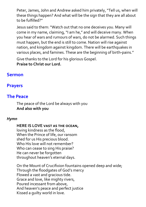Peter, James, John and Andrew asked him privately, "Tell us, when will these things happen? And what will be the sign that they are all about to be fulfilled?"

Jesus said to them: "Watch out that no one deceives you. Many will come in my name, claiming, "I am he," and will deceive many. When you hear of wars and rumours of wars, do not be alarmed. Such things must happen, but the end is still to come. Nation will rise against nation, and kingdom against kingdom. There will be earthquakes in various places, and famines. These are the beginning of birth-pains."

Give thanks to the Lord for his glorious Gospel. **Praise to Christ our Lord.**

#### **Sermon**

#### **Prayers**

#### **The Peace**

The peace of the Lord be always with you **And also with you**

#### *Hymn*

#### **HERE IS LOVE vast as the ocean,**

loving kindness as the flood, When the Prince of life, our ransom shed for us His precious blood. Who His love will not remember? Who can cease to sing His praise? He can never be forgotten throughout heaven's eternal days.

On the Mount of Crucifixion fountains opened deep and wide; Through the floodgates of God's mercy Flowed a vast and gracious tide. Grace and love, like mighty rivers, Poured incessant from above, And heaven's peace and perfect justice Kissed a guilty world in love.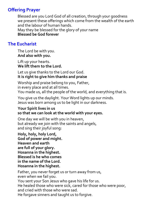#### **Offering Prayer**

Blessed are you Lord God of all creation, through your goodness we present these offerings which come from the wealth of the earth and the labour of human hands. May they be blessed for the glory of your name **Blessed be God forever**

#### **The Eucharist**

The Lord be with you. **And also with you.**

Lift up your hearts. **We lift them to the Lord.**

Let us give thanks to the Lord our God. **It is right to give him thanks and praise**

Worship and praise belong to you, Father, in every place and at all times. You made us, all the people of the world, and everything that is.

You give us the daylight. Your Word lights up our minds. Jesus was born among us to be light in our darkness.

#### **Your Spirit lives in us so that we can look at the world with your eyes.**

One day we will be with you in heaven, but already we join with the saints and angels, and sing their joyful song:

**Holy, holy, holy Lord, God of power and might. Heaven and earth are full of your glory. Hosanna in the highest. Blessed is he who comes in the name of the Lord. Hosanna in the highest.**

Father, you never forget us or turn away from us, even when we fail you.

You sent your Son Jesus who gave his life for us.

He healed those who were sick, cared for those who were poor, and cried with those who were sad.

He forgave sinners and taught us to forgive.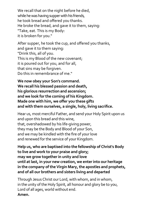We recall that on the night before he died, while he was having supper with his friends, he took bread and offered you thanks. He broke the bread, and gave it to them, saying: "Take, eat. This is my Body: it is broken for you."

After supper, he took the cup, and offered you thanks, and gave it to them saying: "Drink this, all of you. This is my Blood of the new covenant; it is poured out for you, and for all, that sins may be forgiven. Do this in remembrance of me."

**We now obey your Son's command. We recall his blessed passion and death, his glorious resurrection and ascension; and we look for the coming of his Kingdom. Made one with him, we offer you these gifts and with them ourselves, a single, holy, living sacrifice.**

Hear us, most merciful Father, and send your Holy Spirit upon us and upon this bread and this wine, that, overshadowed by his life-giving power, they may be the Body and Blood of your Son, and we may be kindled with the fire of your love and renewed for the service of your Kingdom.

**Help us, who are baptised into the fellowship of Christ's Body to live and work to your praise and glory; may we grow together in unity and love until at last, in your new creation, we enter into our heritage in the company of the Virgin Mary, the apostles and prophets, and of all our brothers and sisters living and departed**

Through Jesus Christ our Lord, with whom, and in whom, in the unity of the Holy Spirit, all honour and glory be to you, Lord of all ages, world without end. **Amen.**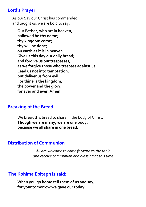#### **Lord's Prayer**

As our Saviour Christ has commanded and taught us, we are bold to say:

**Our Father, who art in heaven, hallowed be thy name; thy kingdom come; thy will be done; on earth as it is in heaven. Give us this day our daily bread; and forgive us our trespasses, as we forgive those who trespass against us. Lead us not into temptation, but deliver us from evil. For thine is the kingdom, the power and the glory, for ever and ever. Amen.**

#### **Breaking of the Bread**

We break this bread to share in the body of Christ. **Though we are many, we are one body, because we all share in one bread.**

#### **Distribution of Communion**

*All are welcome to come forward to the table and receive communion or a blessing at this time*

#### **The Kohima Epitaph is said:**

**When you go home tell them of us and say, for your tomorrow we gave our today.**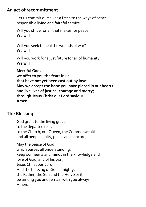#### **An act of recommitment**

Let us commit ourselves a fresh to the ways of peace, responsible living and faithful service.

Will you strive for all that makes for peace? **We will** 

Will you seek to heal the wounds of war? **We will** 

Will you work for a just future for all of humanity? **We will** 

**Merciful God, we offer to you the fears in us that have not yet been cast out by love: May we accept the hope you have placed in our hearts and live lives of justice, courage and mercy; through Jesus Christ our Lord saviour. Amen**

#### **The Blessing**

God grant to the living grace, to the departed rest, to the Church, our Queen, the Commonwealth and all people, unity, peace and concord,

May the peace of God which passes all understanding, keep our hearts and minds in the knowledge and love of God, and of his Son, Jesus Christ our Lord: And the blessing of God almighty, the Father, the Son and the Holy Spirit, be among you and remain with you always. Amen.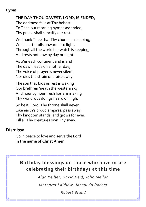#### *Hymn*

#### **THE DAY THOU GAVEST, LORD, IS ENDED,**

The darkness falls at Thy behest; To Thee our morning hymns ascended, Thy praise shall sanctify our rest.

We thank Thee that Thy church unsleeping, While earth rolls onward into light, Through all the world her watch is keeping, And rests not now by day or night.

As o'er each continent and island The dawn leads on another day, The voice of prayer is never silent, Nor dies the strain of praise away.

The sun that bids us rest is waking Our brethren 'neath the western sky, And hour by hour fresh lips are making Thy wondrous doings heard on high.

So be it, Lord! Thy throne shall never, Like earth's proud empires, pass away; Thy kingdom stands, and grows for ever, Till all Thy creatures own Thy sway.

#### **Dismissal**

Go in peace to love and serve the Lord **in the name of Christ Amen**

#### **Birthday blessings on those who have or are celebrating their birthdays at this time**

*Alan Keiller, David Reid, John Mellon*

*Margaret Laidlaw, Jacqui du Rocher*

*Robert Brand*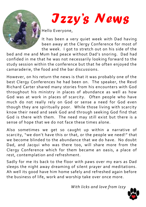

*Izzy's News* 

Hello Everyone,

It has been a very quiet week with Dad having been away at the Clergy Conference for most of the week. I got to stretch out on his side of the

bed and me and Mum had peace without Dad's snoring. Dad had confided in me that he was not necessarily looking forward to the study session within the conference but that he often enjoyed the camaraderie, the food and the bar discussions.

However, on his return the news is that it was probably one of the best Clergy Conferences he had been on. The speaker, the Revd Richard Carter shared many stories from his encounters with God throughout his ministry in places of abundance as well as how God was at work in places of scarcity. Often people who have much do not really rely on God or sense a need for God even though they are spiritually poor. While those living with scarcity know their need and seek God and through seeking God find that God is there with them. The need may still exist but there is a sense of hope that we do not face these times alone.

Also sometimes we get so caught up within a narrative of scarcity, "we don't have this or that, or the people we need!" that we become blinded to the abundance that we do have. No doubt Dad, and Jacqui who was there too, will share more from the Clergy Conference which for them became an oasis, a place of rest, contemplation and refreshment.

Sadly for me its back to the floor with paws over my ears as Dad sleeps the night away dreaming of silent prayer and meditations. Ah well its good have him home safely and refreshed again before the business of life, work and worship take over once more.

*With licks and love from Izzy*

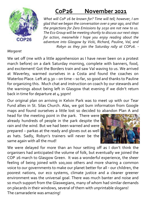

#### *Margaret*

## **CoP26 November 2021**

*What will CoP 26 be known for? Time will tell; however, I am glad that we began the conversation over a year ago, and that the projections for Zero Emissions by 2030 are not new to us. The Eco Group will be meeting shortly to discuss our next steps for action, meanwhile I hope you enjoy reading about the adventure into Glasgow by Vicki, Richard, Pauline, Val, and Robyn as they join the Saturday rally at COP26. -*

We set off (me with a little apprehension as I have never been on a protest march before) on a dark Saturday morning, complete with banners, food, and excitement! Got the Borders train and saw Val waving to us. We arrived at Waverley, warmed ourselves in a Costa and found the coaches on Waterloo Place. Left at 9.30 – on time – so far, so good and thanks to Pauline for organizing this. Much chat and instruction on coach by our stewards and the warnings about being left in Glasgow that evening if we didn't return back in time for departure at 4.30pm!

Our original plan on arriving in Kelvin Park was to meet up with our Tear Fund allies in St. Silas Church. Alas, we got bum information from Google maps and found ourselves a little lost so decided to abandon Plan A and

head for the meeting point in the park. There were already hundreds of people in the park despite the rain and the wind. But we had been warned and were prepared – parkas at the ready and gloves out as well as hats. Sadly, Robyn's trainers will never be the same again with all the mud!



We were delayed for more than an hour setting off as I don't think the organisers had anticipated the volume of folk, but eventually we joined the COP 26 march to Glasgow Green. It was a wonderful experience, the sheer feeling of being joined with 100,000 others and more sharing a common voice to our governments to make our planet better for all - our children, the poorest nations, our eco systems, climate justice and a cleaner greener environment was the universal goal. There was much banter and noise and so much support from the Glaswegians, many of whom had similar demands on placards in their windows, several of them with unprintable slogans! The camaraderie was amazing!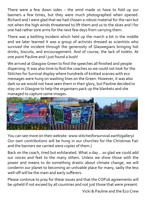There were a few down sides – the wind made us have to fold up our banners a few times, but they were much photographed when opened. Richard and I were glad that we had chosen a robust material for the rain but not when the high winds threatened to lift them and us to the skies and I for one had rather sore arms for the next few days from carrying them.

There was a kettling incident which held up the march a bit in the middle and we later learned it was a group of activists dressed as scientists who survived the incident through the generosity of Glaswegians bringing hot drinks, biscuits, and encouragement. And of course, the lack of toilets. At one point Pauline and I just found a bush!

We arrived at Glasgow Green to find the speeches all finished and people dispersing. It was also time to find the coaches so we could not look for the Stitches for Survival display where hundreds of knitted scarves with eco messages were hung on washing lines on the Green. However, it was also dark so we would not have seen them in their glory, but Pauline decided to stay on in Glasgow to help the organisers pack up the blankets and she managed to capture some images.



You can see more on their website. www.stitchesforsurvival.earth/gallery/ Our own contributions will be hung in our churches for the Christmas Fair and the banners we carried were copies of them.)

Back on the coach, tired but exhilarated. What a day….so glad we could add our voices and feet to the many others. Unless we show those with the power and means to do something drastic about climate change, we will condemn our planet to becoming an unlivable place for many, sadly the less well-off will be the main and early sufferers.

Please continue to pray for these issues and that the COP26 agreements will be upheld if not exceed by all countries and not just those that were present.

Vicki & Pauline and the Eco Crew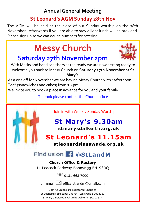## **Annual General Meeting**

### **St Leonard's AGM Sunday 28th Nov**

The AGM will be held at the close of our Sunday worship on the 28th November. Afterwards if you are able to stay a light lunch will be provided. Please sign up so we can gauge numbers for catering.

## **Messy Church Saturday 27th November 2pm**



With Masks and hand sanitisers at the ready we are now getting ready to welcome you back to Messy Church on **Saturday 27th November at St** 

**Mary's.** 

As a one off for November we are having Messy Church with "Afternoon Tea" (sandwiches and cakes) from 2-4pm.

We invite you to book a place in advance for you and your family.

To book please contact the Church office



Join in with Weekly Sunday Worship

## **St Mary's 9.30am stmarysdalkeith.org.uk**

## **St Leonard's 11.15am**

**stleonardslasswade.org.uk**

## Find us on **C** @StLandM

#### **Church Office & Rectory**

11 Peacock Parkway Bonnyrigg EH193RQ

**8 0131 663 7000** 

or email  $\boxtimes$  office.stlandm@gmail.com

Both Churches are registered Charities St Leonard's Episcopal Church: Lasswade SC014151 St Mary's Episcopal Church: Dalkeith SC001677